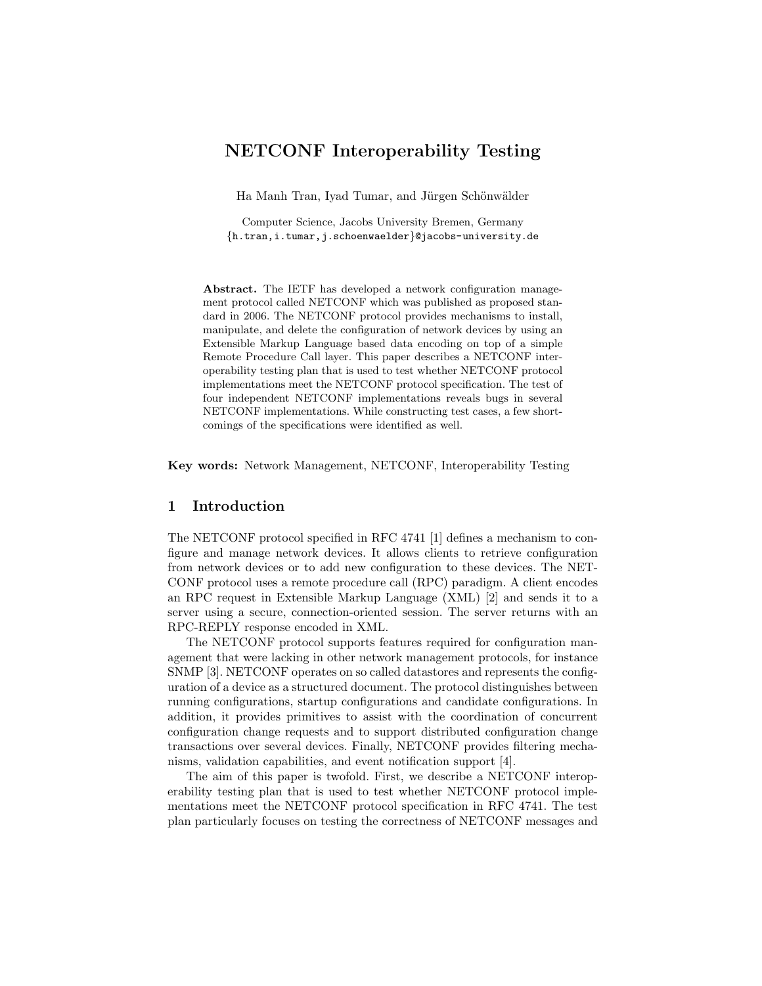## NETCONF Interoperability Testing

Ha Manh Tran, Iyad Tumar, and Jürgen Schönwälder

Computer Science, Jacobs University Bremen, Germany  $\{h.time,i.tumar,j.schoenwaelder\}$ @jacobs-university.de

Abstract. The IETF has developed a network configuration management protocol called NETCONF which was published as proposed standard in 2006. The NETCONF protocol provides mechanisms to install, manipulate, and delete the configuration of network devices by using an Extensible Markup Language based data encoding on top of a simple Remote Procedure Call layer. This paper describes a NETCONF interoperability testing plan that is used to test whether NETCONF protocol implementations meet the NETCONF protocol specification. The test of four independent NETCONF implementations reveals bugs in several NETCONF implementations. While constructing test cases, a few shortcomings of the specifications were identified as well.

Key words: Network Management, NETCONF, Interoperability Testing

## 1 Introduction

The NETCONF protocol specified in RFC 4741 [1] defines a mechanism to configure and manage network devices. It allows clients to retrieve configuration from network devices or to add new configuration to these devices. The NET-CONF protocol uses a remote procedure call (RPC) paradigm. A client encodes an RPC request in Extensible Markup Language (XML) [2] and sends it to a server using a secure, connection-oriented session. The server returns with an RPC-REPLY response encoded in XML.

The NETCONF protocol supports features required for configuration management that were lacking in other network management protocols, for instance SNMP [3]. NETCONF operates on so called datastores and represents the configuration of a device as a structured document. The protocol distinguishes between running configurations, startup configurations and candidate configurations. In addition, it provides primitives to assist with the coordination of concurrent configuration change requests and to support distributed configuration change transactions over several devices. Finally, NETCONF provides filtering mechanisms, validation capabilities, and event notification support [4].

The aim of this paper is twofold. First, we describe a NETCONF interoperability testing plan that is used to test whether NETCONF protocol implementations meet the NETCONF protocol specification in RFC 4741. The test plan particularly focuses on testing the correctness of NETCONF messages and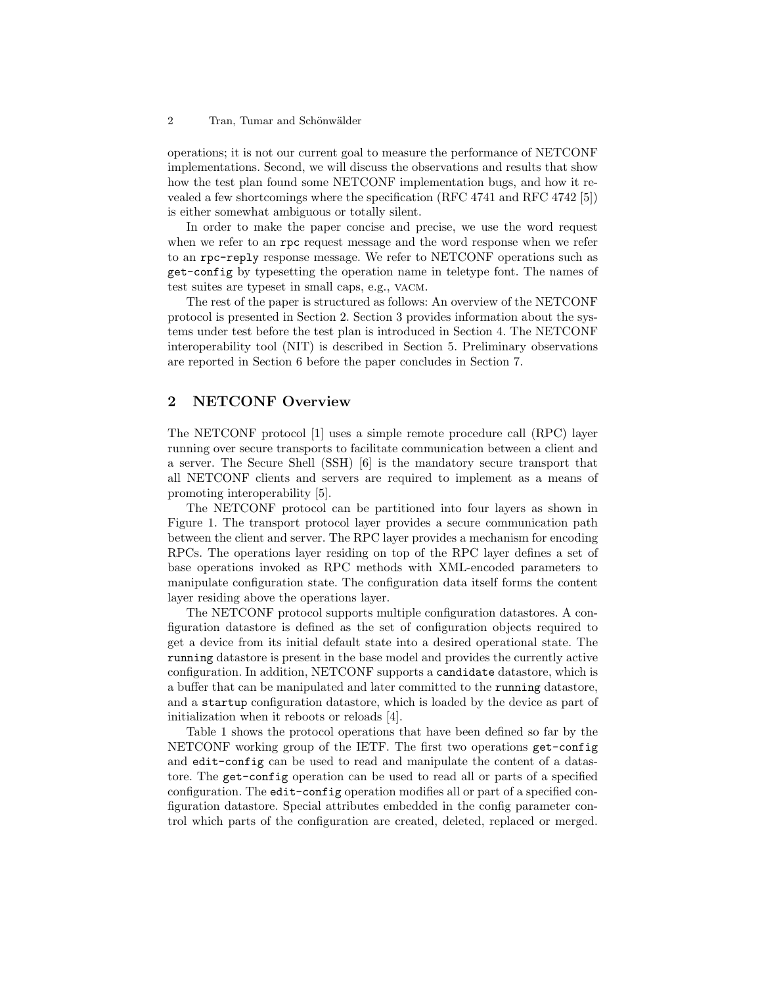operations; it is not our current goal to measure the performance of NETCONF implementations. Second, we will discuss the observations and results that show how the test plan found some NETCONF implementation bugs, and how it revealed a few shortcomings where the specification (RFC 4741 and RFC 4742 [5]) is either somewhat ambiguous or totally silent.

In order to make the paper concise and precise, we use the word request when we refer to an rpc request message and the word response when we refer to an rpc-reply response message. We refer to NETCONF operations such as get-config by typesetting the operation name in teletype font. The names of test suites are typeset in small caps, e.g., vacm.

The rest of the paper is structured as follows: An overview of the NETCONF protocol is presented in Section 2. Section 3 provides information about the systems under test before the test plan is introduced in Section 4. The NETCONF interoperability tool (NIT) is described in Section 5. Preliminary observations are reported in Section 6 before the paper concludes in Section 7.

## 2 NETCONF Overview

The NETCONF protocol [1] uses a simple remote procedure call (RPC) layer running over secure transports to facilitate communication between a client and a server. The Secure Shell (SSH) [6] is the mandatory secure transport that all NETCONF clients and servers are required to implement as a means of promoting interoperability [5].

The NETCONF protocol can be partitioned into four layers as shown in Figure 1. The transport protocol layer provides a secure communication path between the client and server. The RPC layer provides a mechanism for encoding RPCs. The operations layer residing on top of the RPC layer defines a set of base operations invoked as RPC methods with XML-encoded parameters to manipulate configuration state. The configuration data itself forms the content layer residing above the operations layer.

The NETCONF protocol supports multiple configuration datastores. A configuration datastore is defined as the set of configuration objects required to get a device from its initial default state into a desired operational state. The running datastore is present in the base model and provides the currently active configuration. In addition, NETCONF supports a candidate datastore, which is a buffer that can be manipulated and later committed to the running datastore, and a startup configuration datastore, which is loaded by the device as part of initialization when it reboots or reloads [4].

Table 1 shows the protocol operations that have been defined so far by the NETCONF working group of the IETF. The first two operations get-config and edit-config can be used to read and manipulate the content of a datastore. The get-config operation can be used to read all or parts of a specified configuration. The edit-config operation modifies all or part of a specified configuration datastore. Special attributes embedded in the config parameter control which parts of the configuration are created, deleted, replaced or merged.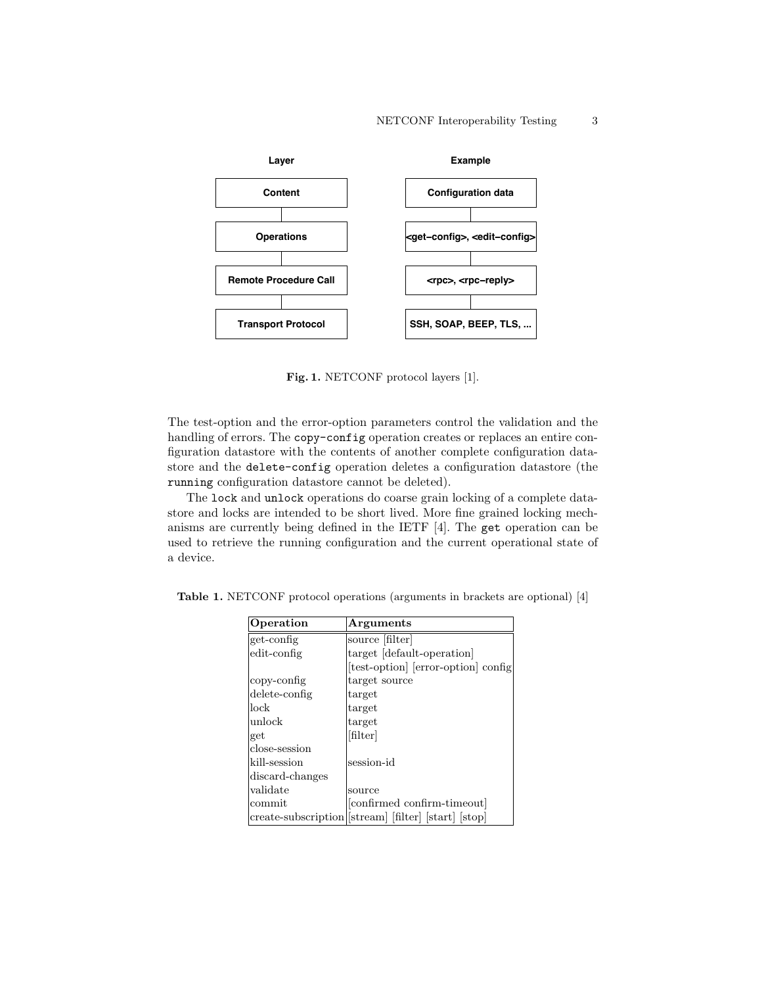# NETCONF Interoperability Testing 3



Fig. 1. NETCONF protocol layers [1].

The test-option and the error-option parameters control the validation and the handling of errors. The copy-config operation creates or replaces an entire configuration datastore with the contents of another complete configuration data-<br>the problem of the protience contents deliver complementies detection (the Filtering mechanisms that allows confirm the deleted of running configuration datastore cannot be deleted). store and the delete-config operation deletes a configuration datastore (the

The lock and unlock operations do coarse grain locking of a complete datastore and locks are intended to be short lived. More fine grained locking mechanisms are currently being denied in the IETF [4]. The get operation can be used to retrieve the running configuration and the current operational state of get a device from its initial default state into the desired of positional state<br>device. anisms are currently being defined in the IETF [4]. The get operation can be a device.

| Operation       | Arguments                                          |
|-----------------|----------------------------------------------------|
| get-config      | source [filter]                                    |
| edit-config     | target [default-operation]                         |
|                 | [test-option] [error-option] config                |
| copy-config     | target source                                      |
| delete-config   | target                                             |
| lock            | target                                             |
| unlock          | target                                             |
| get             | [filter]                                           |
| close-session   |                                                    |
| kill-session    | session-id                                         |
| discard-changes |                                                    |
| validate        | source                                             |
| commit          | confirmed confirm-timeout                          |
|                 | create-subscription stream [filter] [start] [stop] |

Table 1. NETCONF protocol operations (arguments in brackets are optional) [4]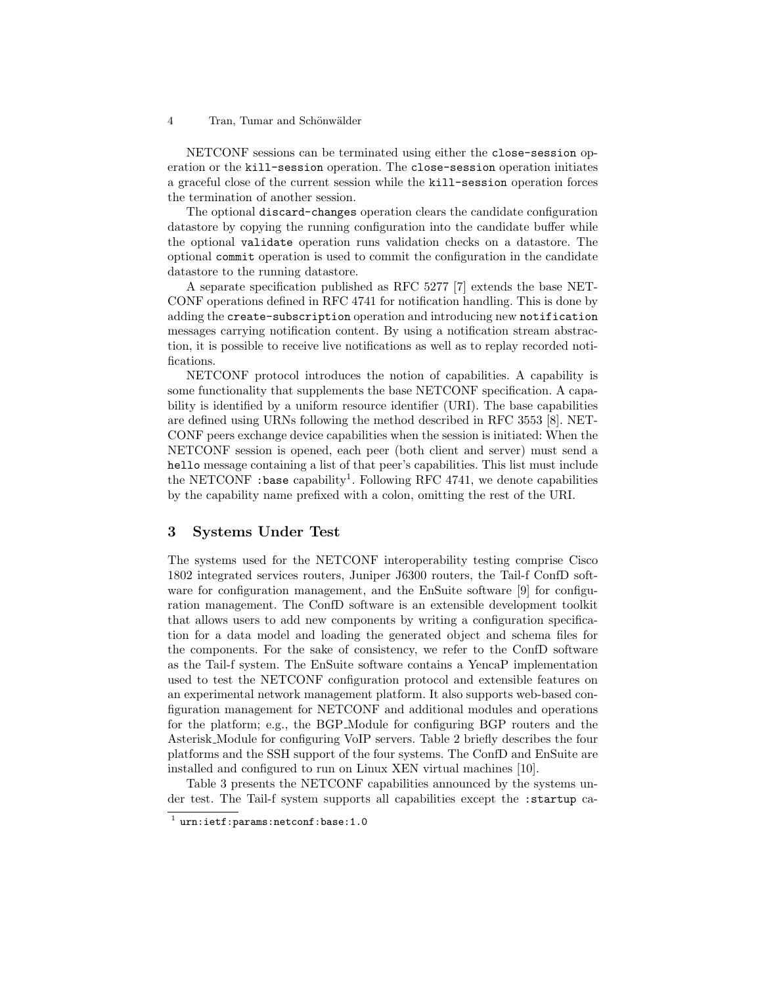NETCONF sessions can be terminated using either the close-session operation or the kill-session operation. The close-session operation initiates a graceful close of the current session while the kill-session operation forces the termination of another session.

The optional discard-changes operation clears the candidate configuration datastore by copying the running configuration into the candidate buffer while the optional validate operation runs validation checks on a datastore. The optional commit operation is used to commit the configuration in the candidate datastore to the running datastore.

A separate specification published as RFC 5277 [7] extends the base NET-CONF operations defined in RFC 4741 for notification handling. This is done by adding the create-subscription operation and introducing new notification messages carrying notification content. By using a notification stream abstraction, it is possible to receive live notifications as well as to replay recorded notifications.

NETCONF protocol introduces the notion of capabilities. A capability is some functionality that supplements the base NETCONF specification. A capability is identified by a uniform resource identifier (URI). The base capabilities are defined using URNs following the method described in RFC 3553 [8]. NET-CONF peers exchange device capabilities when the session is initiated: When the NETCONF session is opened, each peer (both client and server) must send a hello message containing a list of that peer's capabilities. This list must include the NETCONF : base capability<sup>1</sup>. Following RFC 4741, we denote capabilities by the capability name prefixed with a colon, omitting the rest of the URI.

#### 3 Systems Under Test

The systems used for the NETCONF interoperability testing comprise Cisco 1802 integrated services routers, Juniper J6300 routers, the Tail-f ConfD software for configuration management, and the EnSuite software [9] for configuration management. The ConfD software is an extensible development toolkit that allows users to add new components by writing a configuration specification for a data model and loading the generated object and schema files for the components. For the sake of consistency, we refer to the ConfD software as the Tail-f system. The EnSuite software contains a YencaP implementation used to test the NETCONF configuration protocol and extensible features on an experimental network management platform. It also supports web-based configuration management for NETCONF and additional modules and operations for the platform; e.g., the BGP Module for configuring BGP routers and the Asterisk Module for configuring VoIP servers. Table 2 briefly describes the four platforms and the SSH support of the four systems. The ConfD and EnSuite are installed and configured to run on Linux XEN virtual machines [10].

Table 3 presents the NETCONF capabilities announced by the systems under test. The Tail-f system supports all capabilities except the :startup ca-

 $^1$  urn:ietf:params:netconf:base:1.0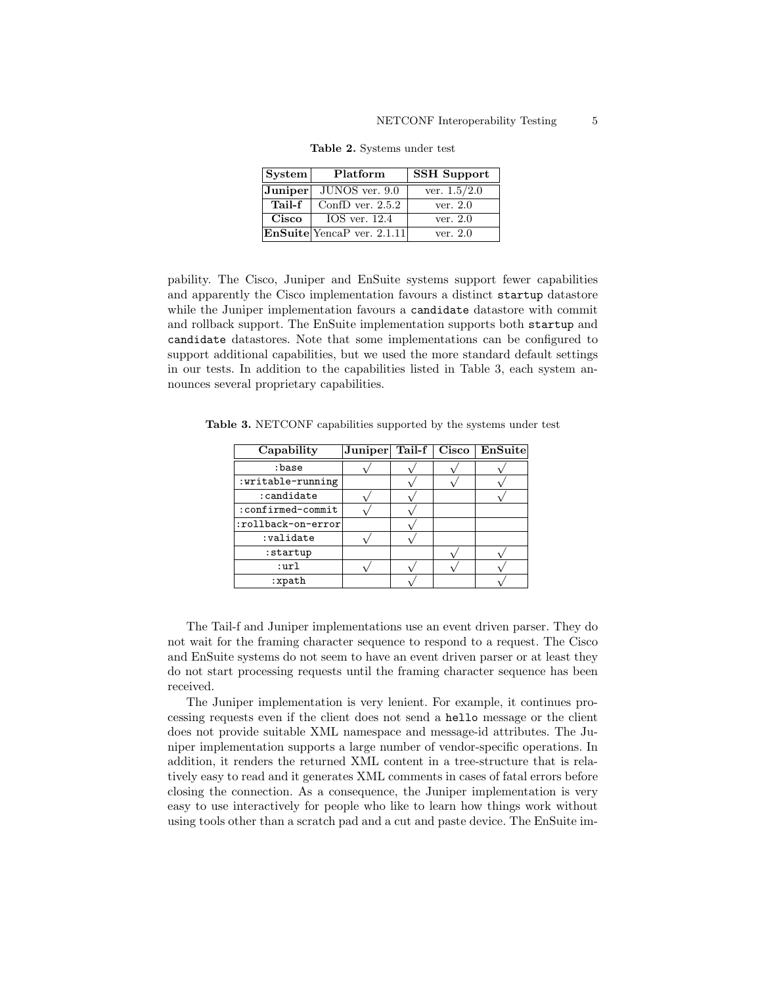| System | Platform                                     | <b>SSH</b> Support |
|--------|----------------------------------------------|--------------------|
|        | <b>Juniper</b> JUNOS ver. 9.0                | ver. $1.5/2.0$     |
| Tail-f | ConfD ver. $2.5.2$                           | ver. $2.0$         |
| Cisco  | $IOS$ ver. $12.4$                            | ver. $2.0$         |
|        | $\boxed{\text{En Suite}}$ YencaP ver. 2.1.11 | ver. $2.0$         |

Table 2. Systems under test

pability. The Cisco, Juniper and EnSuite systems support fewer capabilities and apparently the Cisco implementation favours a distinct startup datastore while the Juniper implementation favours a candidate datastore with commit and rollback support. The EnSuite implementation supports both startup and candidate datastores. Note that some implementations can be configured to support additional capabilities, but we used the more standard default settings in our tests. In addition to the capabilities listed in Table 3, each system announces several proprietary capabilities.

Capability Juniper Tail-f Cisco EnSuite  $\frac{1}{\sqrt{2}}$  : base  $\sqrt{2}$   $\sqrt{2}$   $\sqrt{2}$   $\sqrt{2}$   $\sqrt{2}$  $\begin{array}{c|c|c|c} \hline \text{:base} & \checkmark & \checkmark & \checkmark & \checkmark \\ \hline \hline \text{:variable-running} & & \checkmark & \checkmark & \checkmark & \checkmark \\ \hline \end{array}$ :candidate  $|\vee|$   $\sqrt{ }$ :confirmed-commit  $\sqrt{$  |  $\sqrt{}$ :rollback-on-error :validate  $|\vee|$   $\vee$ : startup  $\frac{1}{\sqrt{2}}$   $\frac{1}{\sqrt{2}}$   $\frac{1}{\sqrt{2}}$   $\frac{1}{\sqrt{2}}$   $\frac{1}{\sqrt{2}}$   $\frac{1}{\sqrt{2}}$   $\frac{1}{\sqrt{2}}$   $\frac{1}{\sqrt{2}}$   $\frac{1}{\sqrt{2}}$   $\frac{1}{\sqrt{2}}$   $\frac{1}{\sqrt{2}}$   $\frac{1}{\sqrt{2}}$   $\frac{1}{\sqrt{2}}$   $\frac{1}{\sqrt{2}}$   $\frac{1}{\sqrt{2}}$   $\frac{1}{\sqrt{2}}$   $\frac{1}{\sqrt{2}}$   $\begin{array}{c|c|c|c|c|c} \hline \cdot & \cdot & \cdot & \vee & \vee & \vee & \vee & \cdots \end{array}$ 

Table 3. NETCONF capabilities supported by the systems under test

The Tail-f and Juniper implementations use an event driven parser. They do not wait for the framing character sequence to respond to a request. The Cisco and EnSuite systems do not seem to have an event driven parser or at least they do not start processing requests until the framing character sequence has been received.

The Juniper implementation is very lenient. For example, it continues processing requests even if the client does not send a hello message or the client does not provide suitable XML namespace and message-id attributes. The Juniper implementation supports a large number of vendor-specific operations. In addition, it renders the returned XML content in a tree-structure that is relatively easy to read and it generates XML comments in cases of fatal errors before closing the connection. As a consequence, the Juniper implementation is very easy to use interactively for people who like to learn how things work without using tools other than a scratch pad and a cut and paste device. The EnSuite im-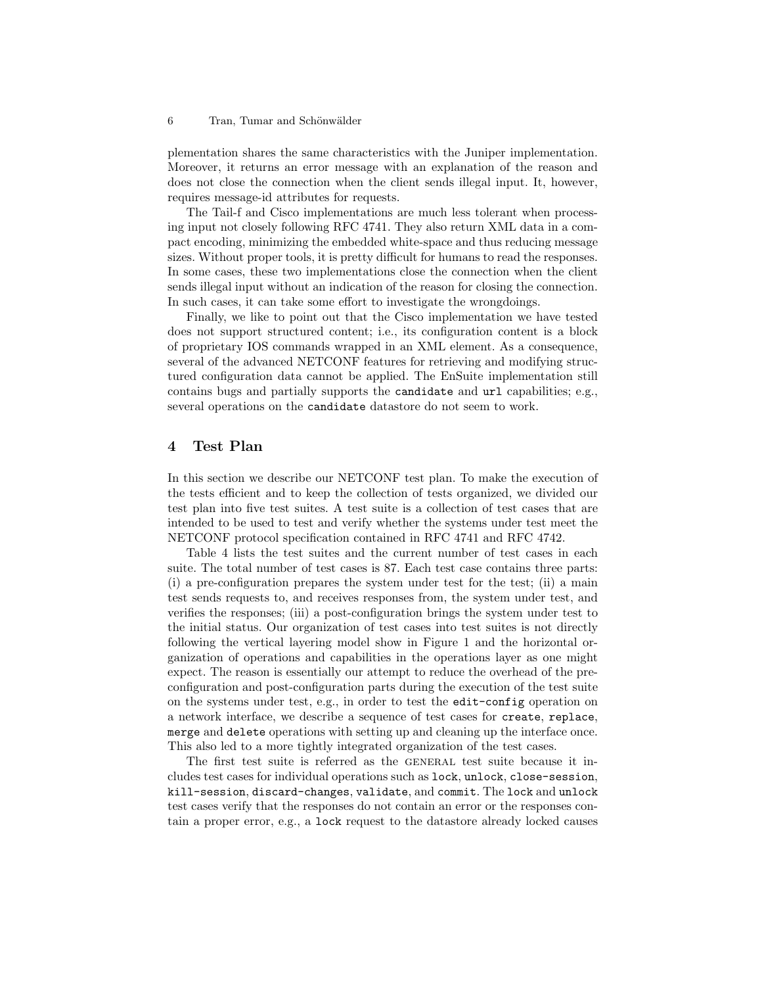plementation shares the same characteristics with the Juniper implementation. Moreover, it returns an error message with an explanation of the reason and does not close the connection when the client sends illegal input. It, however, requires message-id attributes for requests.

The Tail-f and Cisco implementations are much less tolerant when processing input not closely following RFC 4741. They also return XML data in a compact encoding, minimizing the embedded white-space and thus reducing message sizes. Without proper tools, it is pretty difficult for humans to read the responses. In some cases, these two implementations close the connection when the client sends illegal input without an indication of the reason for closing the connection. In such cases, it can take some effort to investigate the wrongdoings.

Finally, we like to point out that the Cisco implementation we have tested does not support structured content; i.e., its configuration content is a block of proprietary IOS commands wrapped in an XML element. As a consequence, several of the advanced NETCONF features for retrieving and modifying structured configuration data cannot be applied. The EnSuite implementation still contains bugs and partially supports the candidate and url capabilities; e.g., several operations on the candidate datastore do not seem to work.

#### 4 Test Plan

In this section we describe our NETCONF test plan. To make the execution of the tests efficient and to keep the collection of tests organized, we divided our test plan into five test suites. A test suite is a collection of test cases that are intended to be used to test and verify whether the systems under test meet the NETCONF protocol specification contained in RFC 4741 and RFC 4742.

Table 4 lists the test suites and the current number of test cases in each suite. The total number of test cases is 87. Each test case contains three parts: (i) a pre-configuration prepares the system under test for the test; (ii) a main test sends requests to, and receives responses from, the system under test, and verifies the responses; (iii) a post-configuration brings the system under test to the initial status. Our organization of test cases into test suites is not directly following the vertical layering model show in Figure 1 and the horizontal organization of operations and capabilities in the operations layer as one might expect. The reason is essentially our attempt to reduce the overhead of the preconfiguration and post-configuration parts during the execution of the test suite on the systems under test, e.g., in order to test the edit-config operation on a network interface, we describe a sequence of test cases for create, replace, merge and delete operations with setting up and cleaning up the interface once. This also led to a more tightly integrated organization of the test cases.

The first test suite is referred as the general test suite because it includes test cases for individual operations such as lock, unlock, close-session, kill-session, discard-changes, validate, and commit. The lock and unlock test cases verify that the responses do not contain an error or the responses contain a proper error, e.g., a lock request to the datastore already locked causes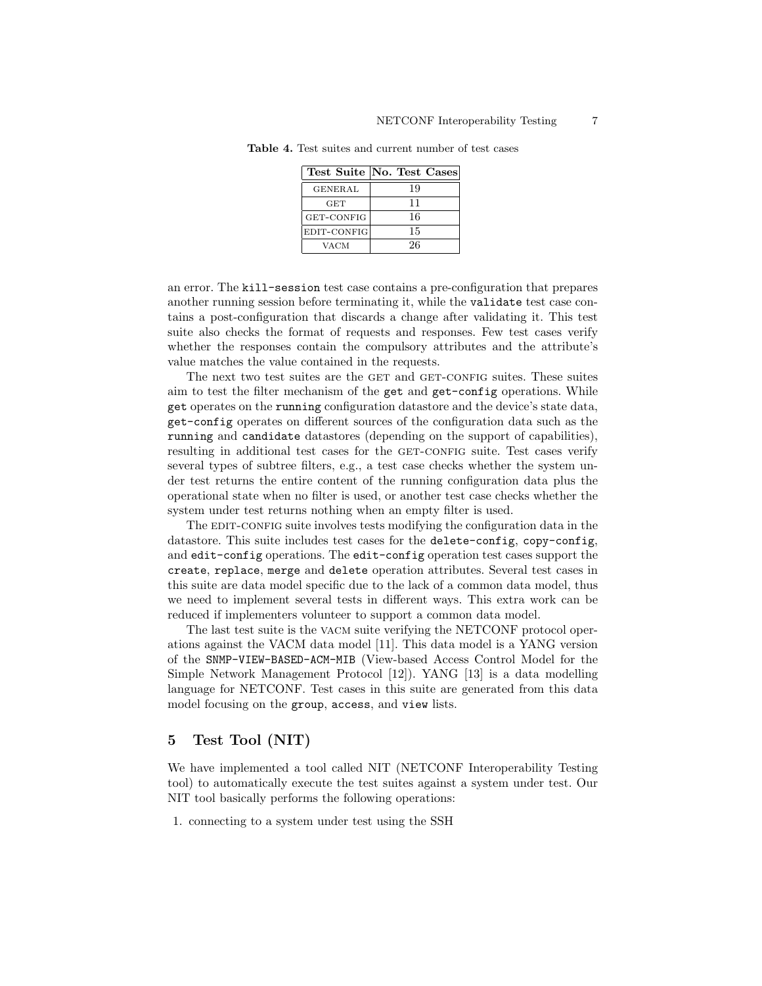|             | Test Suite no. Test Cases |
|-------------|---------------------------|
| GENERAL     | 19                        |
| GET         | 11                        |
| GET-CONFIG  | 16                        |
| EDIT-CONFIG | 15                        |
| VACM        | 26                        |

Table 4. Test suites and current number of test cases  $T_{\text{test}}$   $S_{\text{test}}$   $N_{\text{test}}$   $T_{\text{test}}$   $C_{\text{test}}$ 

an error. The kill-session test case contains a pre-configuration that prepares another running session before terminating it, while the validate test case contains a post-configuration that discards a change after validating it. This test suite also checks the format of requests and responses. Few test cases verify whether the responses contain the compulsory attributes and the attribute's value matches the value contained in the requests.

The next two test suites are the GET and GET-CONFIG suites. These suites aim to test the filter mechanism of the get and get-config operations. While get operates on the running configuration datastore and the device's state data, get-config operates on different sources of the configuration data such as the running and candidate datastores (depending on the support of capabilities), resulting in additional test cases for the GET-CONFIG suite. Test cases verify several types of subtree filters, e.g., a test case checks whether the system under test returns the entire content of the running configuration data plus the operational state when no filter is used, or another test case checks whether the system under test returns nothing when an empty filter is used.

The EDIT-CONFIG suite involves tests modifying the configuration data in the datastore. This suite includes test cases for the delete-config, copy-config, and edit-config operations. The edit-config operation test cases support the create, replace, merge and delete operation attributes. Several test cases in this suite are data model specific due to the lack of a common data model, thus we need to implement several tests in different ways. This extra work can be reduced if implementers volunteer to support a common data model.

The last test suite is the vacm suite verifying the NETCONF protocol operations against the VACM data model [11]. This data model is a YANG version of the SNMP-VIEW-BASED-ACM-MIB (View-based Access Control Model for the Simple Network Management Protocol [12]). YANG [13] is a data modelling language for NETCONF. Test cases in this suite are generated from this data model focusing on the group, access, and view lists.

#### 5 Test Tool (NIT)

We have implemented a tool called NIT (NETCONF Interoperability Testing tool) to automatically execute the test suites against a system under test. Our NIT tool basically performs the following operations:

1. connecting to a system under test using the SSH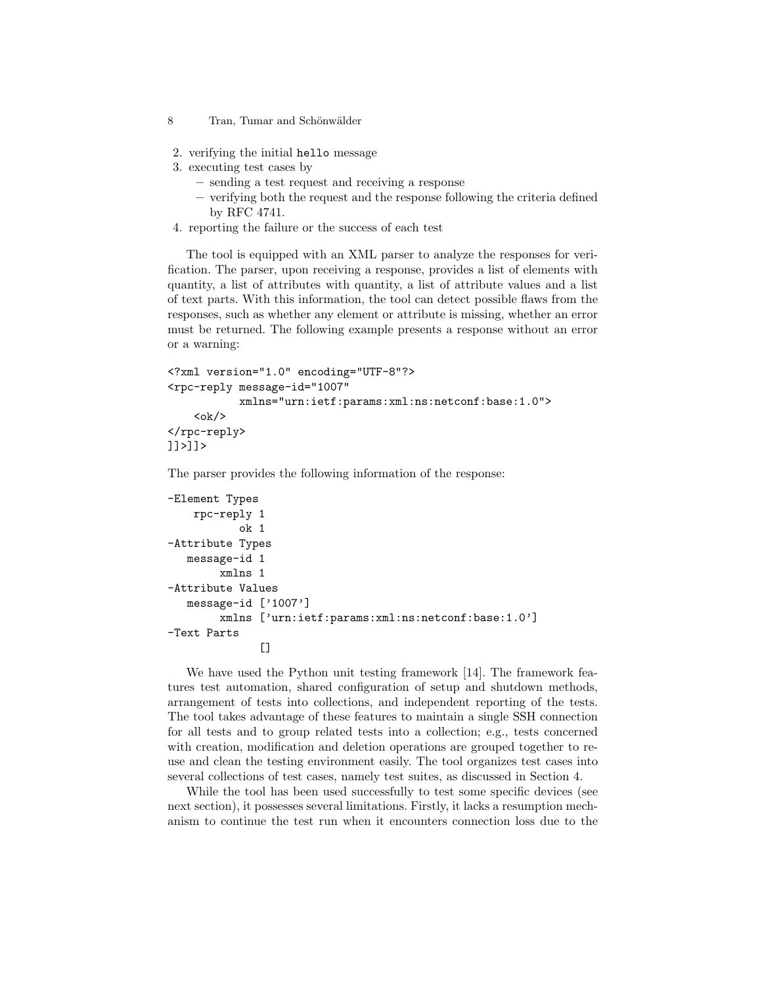- 8 Tran, Tumar and Schönwälder
- 2. verifying the initial hello message
- 3. executing test cases by
	- sending a test request and receiving a response
	- verifying both the request and the response following the criteria defined by RFC 4741.
- 4. reporting the failure or the success of each test

The tool is equipped with an XML parser to analyze the responses for verification. The parser, upon receiving a response, provides a list of elements with quantity, a list of attributes with quantity, a list of attribute values and a list of text parts. With this information, the tool can detect possible flaws from the responses, such as whether any element or attribute is missing, whether an error must be returned. The following example presents a response without an error or a warning:

```
<?xml version="1.0" encoding="UTF-8"?>
<rpc-reply message-id="1007"
           xmlns="urn:ietf:params:xml:ns:netconf:base:1.0">

</rpc-reply>
]]>]]>
```
The parser provides the following information of the response:

```
-Element Types
    rpc-reply 1
           ok 1
-Attribute Types
   message-id 1
        xmlns 1
-Attribute Values
   message-id ['1007']
        xmlns ['urn:ietf:params:xml:ns:netconf:base:1.0']
-Text Parts
               \Box
```
We have used the Python unit testing framework [14]. The framework features test automation, shared configuration of setup and shutdown methods, arrangement of tests into collections, and independent reporting of the tests. The tool takes advantage of these features to maintain a single SSH connection for all tests and to group related tests into a collection; e.g., tests concerned with creation, modification and deletion operations are grouped together to reuse and clean the testing environment easily. The tool organizes test cases into several collections of test cases, namely test suites, as discussed in Section 4.

While the tool has been used successfully to test some specific devices (see next section), it possesses several limitations. Firstly, it lacks a resumption mechanism to continue the test run when it encounters connection loss due to the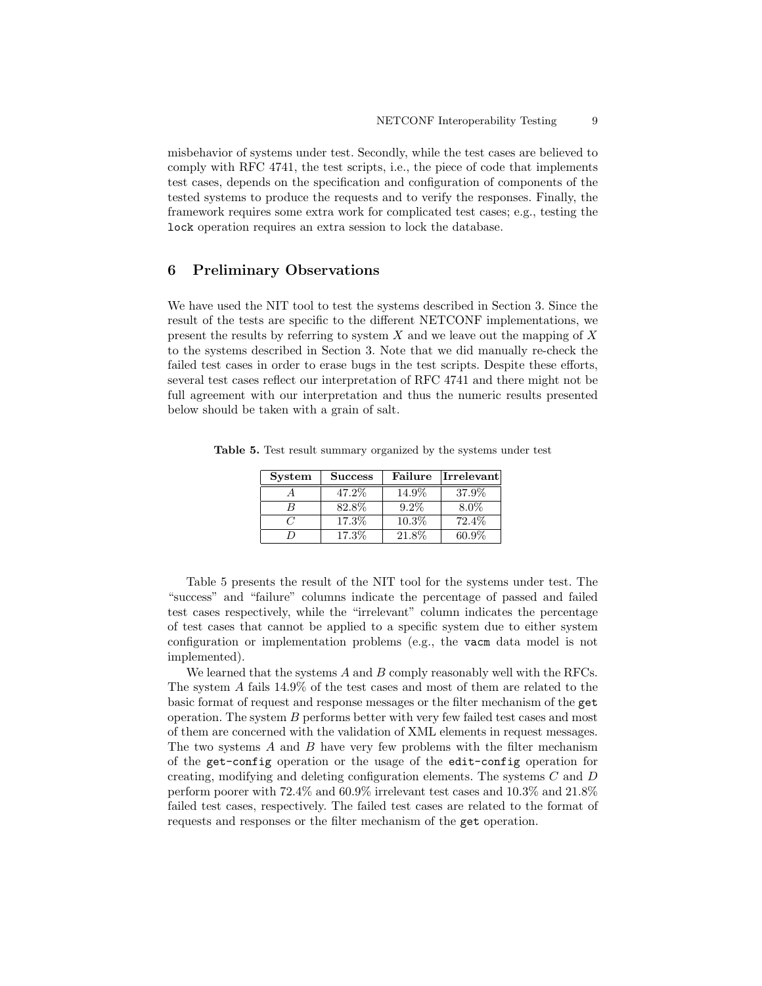misbehavior of systems under test. Secondly, while the test cases are believed to comply with RFC 4741, the test scripts, i.e., the piece of code that implements test cases, depends on the specification and configuration of components of the tested systems to produce the requests and to verify the responses. Finally, the framework requires some extra work for complicated test cases; e.g., testing the lock operation requires an extra session to lock the database.

## 6 Preliminary Observations

We have used the NIT tool to test the systems described in Section 3. Since the result of the tests are specific to the different NETCONF implementations, we present the results by referring to system  $X$  and we leave out the mapping of  $X$ to the systems described in Section 3. Note that we did manually re-check the failed test cases in order to erase bugs in the test scripts. Despite these efforts, several test cases reflect our interpretation of RFC 4741 and there might not be full agreement with our interpretation and thus the numeric results presented below should be taken with a grain of salt.

| <b>System</b> | <b>Success</b> | Failure  | Irrelevant |
|---------------|----------------|----------|------------|
|               | 47.2%          | 14.9%    | 37.9%      |
| R             | 82.8%          | $9.2\%$  | 8.0%       |
| $\mathcal{C}$ | 17.3%          | $10.3\%$ | 72.4\%     |
| ו ו           | 17.3%          | 21.8%    | 60.9%      |

Table 5. Test result summary organized by the systems under test

Table 5 presents the result of the NIT tool for the systems under test. The "success" and "failure" columns indicate the percentage of passed and failed test cases respectively, while the "irrelevant" column indicates the percentage of test cases that cannot be applied to a specific system due to either system configuration or implementation problems (e.g., the vacm data model is not implemented).

We learned that the systems  $A$  and  $B$  comply reasonably well with the RFCs. The system A fails 14.9% of the test cases and most of them are related to the basic format of request and response messages or the filter mechanism of the get operation. The system  $B$  performs better with very few failed test cases and most of them are concerned with the validation of XML elements in request messages. The two systems  $A$  and  $B$  have very few problems with the filter mechanism of the get-config operation or the usage of the edit-config operation for creating, modifying and deleting configuration elements. The systems C and D perform poorer with 72.4% and 60.9% irrelevant test cases and 10.3% and 21.8% failed test cases, respectively. The failed test cases are related to the format of requests and responses or the filter mechanism of the get operation.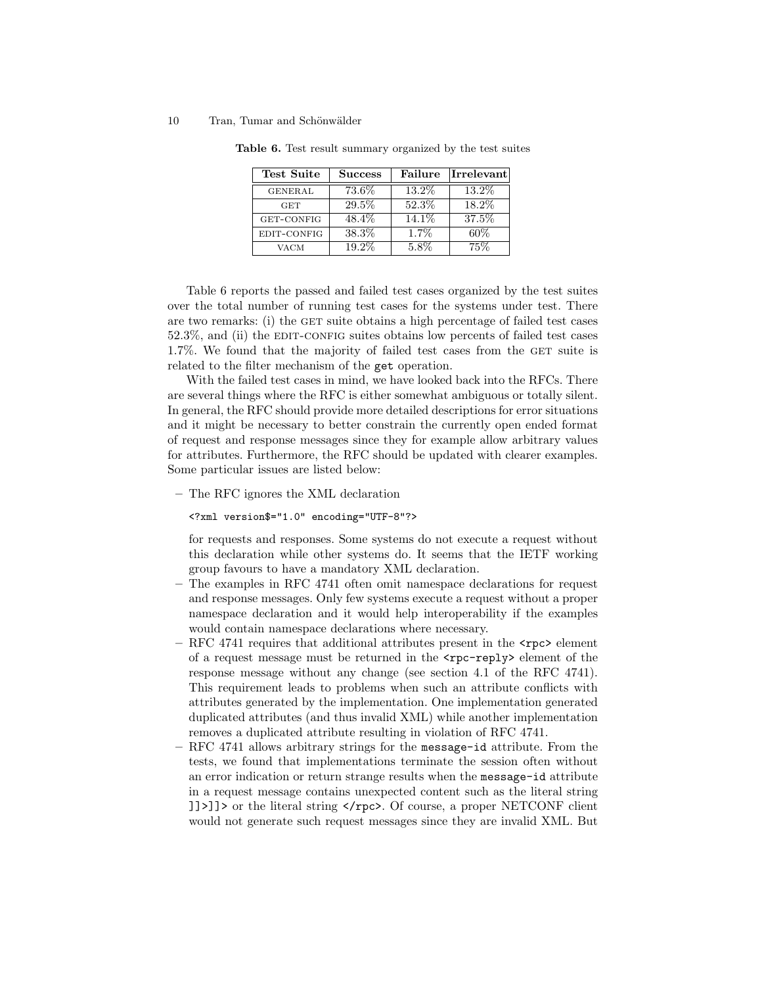| <b>Test Suite</b> | <b>Success</b> | Failure | Irrelevant          |
|-------------------|----------------|---------|---------------------|
| <b>GENERAL</b>    | 73.6%          | 13.2%   | 13.2%               |
| <b>GET</b>        | 29.5%          | 52.3%   | 18.2%               |
| GET-CONFIG        | 48.4%          | 14.1%   | $37.\overline{5\%}$ |
| EDIT-CONFIG       | 38.3%          | $1.7\%$ | $60\%$              |
| VACM              | 19.2%          | 5.8%    | 75%                 |

Table 6. Test result summary organized by the test suites

Table 6 reports the passed and failed test cases organized by the test suites over the total number of running test cases for the systems under test. There are two remarks: (i) the GET suite obtains a high percentage of failed test cases  $52.3\%$ , and (ii) the EDIT-CONFIG suites obtains low percents of failed test cases 1.7%. We found that the majority of failed test cases from the GET suite is related to the filter mechanism of the get operation.

With the failed test cases in mind, we have looked back into the RFCs. There are several things where the RFC is either somewhat ambiguous or totally silent. In general, the RFC should provide more detailed descriptions for error situations and it might be necessary to better constrain the currently open ended format of request and response messages since they for example allow arbitrary values for attributes. Furthermore, the RFC should be updated with clearer examples. Some particular issues are listed below:

– The RFC ignores the XML declaration

<?xml version\$="1.0" encoding="UTF-8"?>

for requests and responses. Some systems do not execute a request without this declaration while other systems do. It seems that the IETF working group favours to have a mandatory XML declaration.

- The examples in RFC 4741 often omit namespace declarations for request and response messages. Only few systems execute a request without a proper namespace declaration and it would help interoperability if the examples would contain namespace declarations where necessary.
- RFC 4741 requires that additional attributes present in the  $\langle$ rpc> element of a request message must be returned in the <rpc-reply> element of the response message without any change (see section 4.1 of the RFC 4741). This requirement leads to problems when such an attribute conflicts with attributes generated by the implementation. One implementation generated duplicated attributes (and thus invalid XML) while another implementation removes a duplicated attribute resulting in violation of RFC 4741.
- RFC 4741 allows arbitrary strings for the message-id attribute. From the tests, we found that implementations terminate the session often without an error indication or return strange results when the message-id attribute in a request message contains unexpected content such as the literal string ] $]$ >]]> or the literal string  $\langle$ /rpc>. Of course, a proper NETCONF client would not generate such request messages since they are invalid XML. But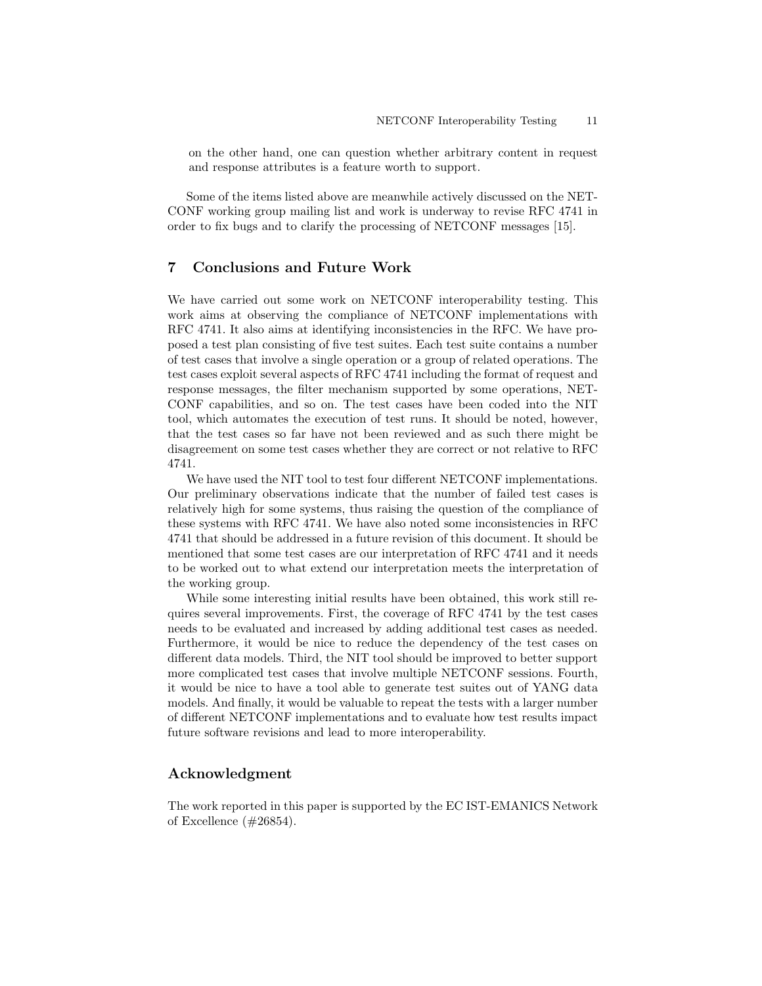on the other hand, one can question whether arbitrary content in request and response attributes is a feature worth to support.

Some of the items listed above are meanwhile actively discussed on the NET-CONF working group mailing list and work is underway to revise RFC 4741 in order to fix bugs and to clarify the processing of NETCONF messages [15].

## 7 Conclusions and Future Work

We have carried out some work on NETCONF interoperability testing. This work aims at observing the compliance of NETCONF implementations with RFC 4741. It also aims at identifying inconsistencies in the RFC. We have proposed a test plan consisting of five test suites. Each test suite contains a number of test cases that involve a single operation or a group of related operations. The test cases exploit several aspects of RFC 4741 including the format of request and response messages, the filter mechanism supported by some operations, NET-CONF capabilities, and so on. The test cases have been coded into the NIT tool, which automates the execution of test runs. It should be noted, however, that the test cases so far have not been reviewed and as such there might be disagreement on some test cases whether they are correct or not relative to RFC 4741.

We have used the NIT tool to test four different NETCONF implementations. Our preliminary observations indicate that the number of failed test cases is relatively high for some systems, thus raising the question of the compliance of these systems with RFC 4741. We have also noted some inconsistencies in RFC 4741 that should be addressed in a future revision of this document. It should be mentioned that some test cases are our interpretation of RFC 4741 and it needs to be worked out to what extend our interpretation meets the interpretation of the working group.

While some interesting initial results have been obtained, this work still requires several improvements. First, the coverage of RFC 4741 by the test cases needs to be evaluated and increased by adding additional test cases as needed. Furthermore, it would be nice to reduce the dependency of the test cases on different data models. Third, the NIT tool should be improved to better support more complicated test cases that involve multiple NETCONF sessions. Fourth, it would be nice to have a tool able to generate test suites out of YANG data models. And finally, it would be valuable to repeat the tests with a larger number of different NETCONF implementations and to evaluate how test results impact future software revisions and lead to more interoperability.

## Acknowledgment

The work reported in this paper is supported by the EC IST-EMANICS Network of Excellence  $(\#26854)$ .